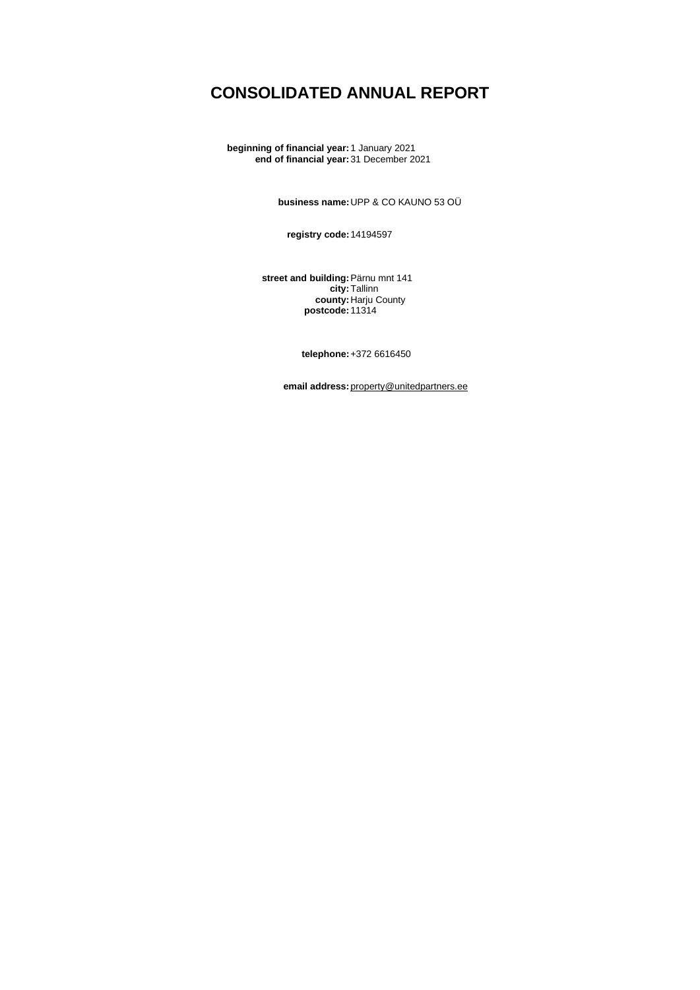# **CONSOLIDATED ANNUAL REPORT**

**beginning of financial year:**1 January 2021 **end of financial year:**31 December 2021

**business name:**UPP & CO KAUNO 53 OÜ

**registry code:**14194597

**street and building:**Pärnu mnt 141 **city:**Tallinn **county:**Harju County **postcode:**11314

**telephone:**+372 6616450

**email address:**[property@unitedpartners.ee](mailto:property@unitedpartners.ee)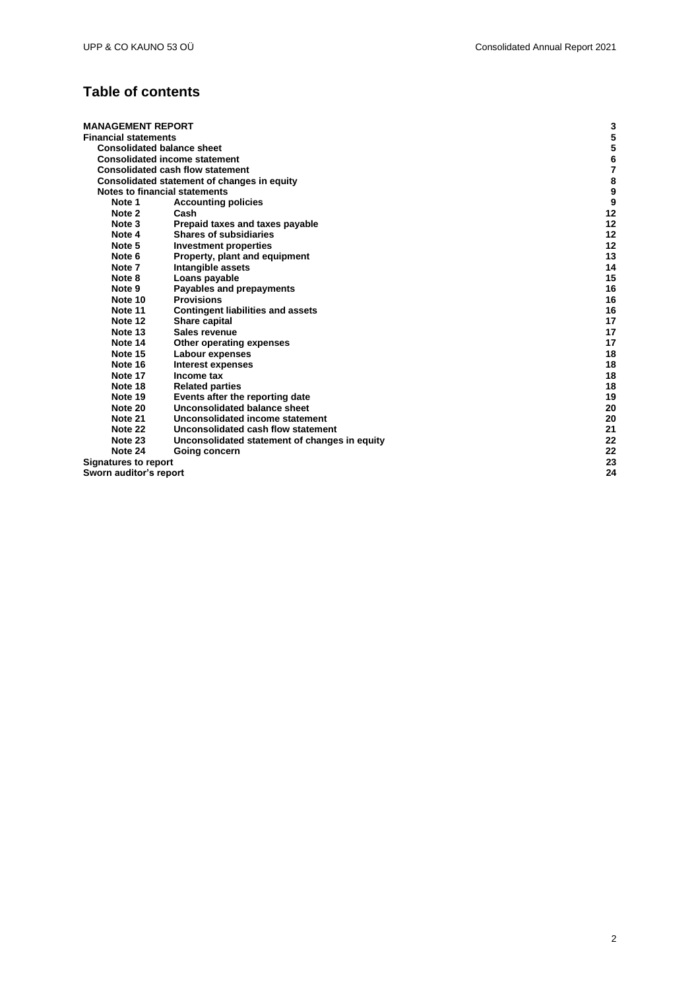## **Table of contents**

| <b>MANAGEMENT REPORT</b>    |                                               | 3  |
|-----------------------------|-----------------------------------------------|----|
| <b>Financial statements</b> |                                               | 5  |
|                             | <b>Consolidated balance sheet</b>             | 5  |
|                             | <b>Consolidated income statement</b>          | 6  |
|                             | <b>Consolidated cash flow statement</b>       | 7  |
|                             | Consolidated statement of changes in equity   | 8  |
|                             | Notes to financial statements                 | 9  |
| Note 1                      | <b>Accounting policies</b>                    | 9  |
| Note 2                      | Cash                                          | 12 |
| Note 3                      | Prepaid taxes and taxes payable               | 12 |
| Note 4                      | <b>Shares of subsidiaries</b>                 | 12 |
| Note 5                      | Investment properties                         | 12 |
| Note 6                      | Property, plant and equipment                 | 13 |
| Note 7                      | Intangible assets                             | 14 |
| Note 8                      | Loans payable                                 | 15 |
| Note 9                      | Payables and prepayments                      | 16 |
| Note 10                     | <b>Provisions</b>                             | 16 |
| Note 11                     | <b>Contingent liabilities and assets</b>      | 16 |
| Note 12                     | Share capital                                 | 17 |
| Note 13                     | Sales revenue                                 | 17 |
| Note 14                     | Other operating expenses                      | 17 |
| Note 15                     | Labour expenses                               | 18 |
| Note 16                     | Interest expenses                             | 18 |
| Note 17                     | Income tax                                    | 18 |
| Note 18                     | <b>Related parties</b>                        | 18 |
| Note 19                     | Events after the reporting date               | 19 |
| Note 20                     | Unconsolidated balance sheet                  | 20 |
| Note 21                     | Unconsolidated income statement               | 20 |
| Note 22                     | Unconsolidated cash flow statement            | 21 |
| Note 23                     | Unconsolidated statement of changes in equity | 22 |
| Note 24                     | Going concern                                 | 22 |
| <b>Signatures to report</b> |                                               | 23 |
| Sworn auditor's report      |                                               | 24 |

2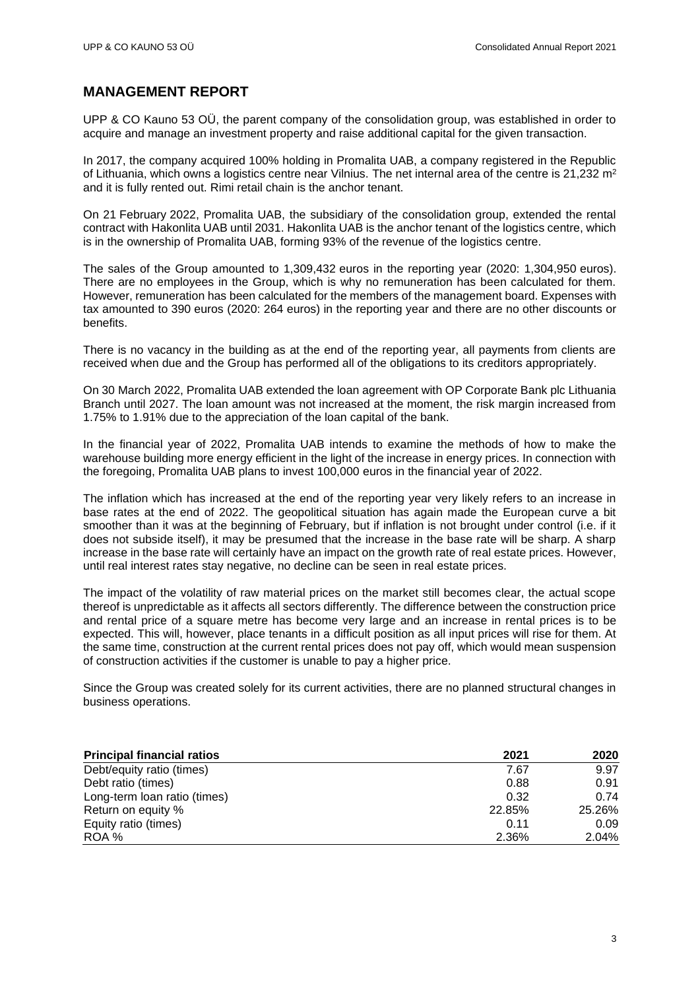### <span id="page-2-0"></span>**MANAGEMENT REPORT**

UPP & CO Kauno 53 OÜ, the parent company of the consolidation group, was established in order to acquire and manage an investment property and raise additional capital for the given transaction.

In 2017, the company acquired 100% holding in Promalita UAB, a company registered in the Republic of Lithuania, which owns a logistics centre near Vilnius. The net internal area of the centre is  $21,232$  m<sup>2</sup> and it is fully rented out. Rimi retail chain is the anchor tenant.

On 21 February 2022, Promalita UAB, the subsidiary of the consolidation group, extended the rental contract with Hakonlita UAB until 2031. Hakonlita UAB is the anchor tenant of the logistics centre, which is in the ownership of Promalita UAB, forming 93% of the revenue of the logistics centre.

The sales of the Group amounted to 1,309,432 euros in the reporting year (2020: 1,304,950 euros). There are no employees in the Group, which is why no remuneration has been calculated for them. However, remuneration has been calculated for the members of the management board. Expenses with tax amounted to 390 euros (2020: 264 euros) in the reporting year and there are no other discounts or benefits.

There is no vacancy in the building as at the end of the reporting year, all payments from clients are received when due and the Group has performed all of the obligations to its creditors appropriately.

On 30 March 2022, Promalita UAB extended the loan agreement with OP Corporate Bank plc Lithuania Branch until 2027. The loan amount was not increased at the moment, the risk margin increased from 1.75% to 1.91% due to the appreciation of the loan capital of the bank.

In the financial year of 2022, Promalita UAB intends to examine the methods of how to make the warehouse building more energy efficient in the light of the increase in energy prices. In connection with the foregoing, Promalita UAB plans to invest 100,000 euros in the financial year of 2022.

The inflation which has increased at the end of the reporting year very likely refers to an increase in base rates at the end of 2022. The geopolitical situation has again made the European curve a bit smoother than it was at the beginning of February, but if inflation is not brought under control (i.e. if it does not subside itself), it may be presumed that the increase in the base rate will be sharp. A sharp increase in the base rate will certainly have an impact on the growth rate of real estate prices. However, until real interest rates stay negative, no decline can be seen in real estate prices.

The impact of the volatility of raw material prices on the market still becomes clear, the actual scope thereof is unpredictable as it affects all sectors differently. The difference between the construction price and rental price of a square metre has become very large and an increase in rental prices is to be expected. This will, however, place tenants in a difficult position as all input prices will rise for them. At the same time, construction at the current rental prices does not pay off, which would mean suspension of construction activities if the customer is unable to pay a higher price.

Since the Group was created solely for its current activities, there are no planned structural changes in business operations.

| <b>Principal financial ratios</b> | 2021   | 2020   |  |
|-----------------------------------|--------|--------|--|
| Debt/equity ratio (times)         | 7.67   | 9.97   |  |
| Debt ratio (times)                | 0.88   | 0.91   |  |
| Long-term loan ratio (times)      | 0.32   | 0.74   |  |
| Return on equity %                | 22.85% | 25.26% |  |
| Equity ratio (times)              | 0.11   | 0.09   |  |
| ROA %                             | 2.36%  | 2.04%  |  |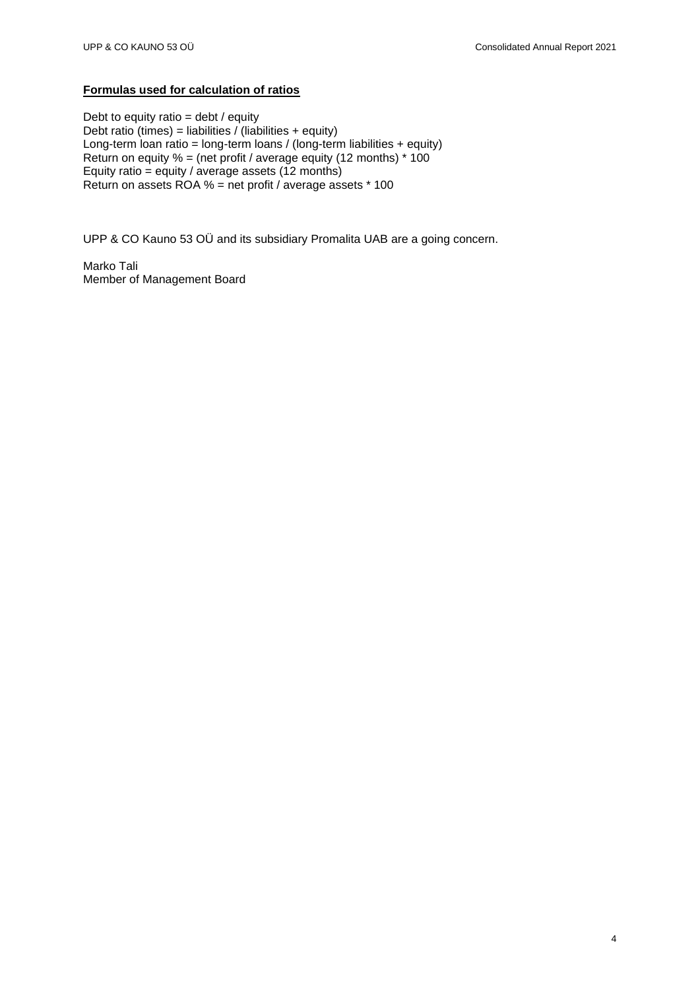### **Formulas used for calculation of ratios**

Debt to equity ratio  $=$  debt / equity Debt ratio (times) = liabilities / (liabilities + equity) Long-term loan ratio = long-term loans / (long-term liabilities + equity) Return on equity  $% =$  (net profit / average equity (12 months)  $*$  100 Equity ratio = equity / average assets (12 months) Return on assets ROA % = net profit / average assets \* 100

UPP & CO Kauno 53 OÜ and its subsidiary Promalita UAB are a going concern.

Marko Tali Member of Management Board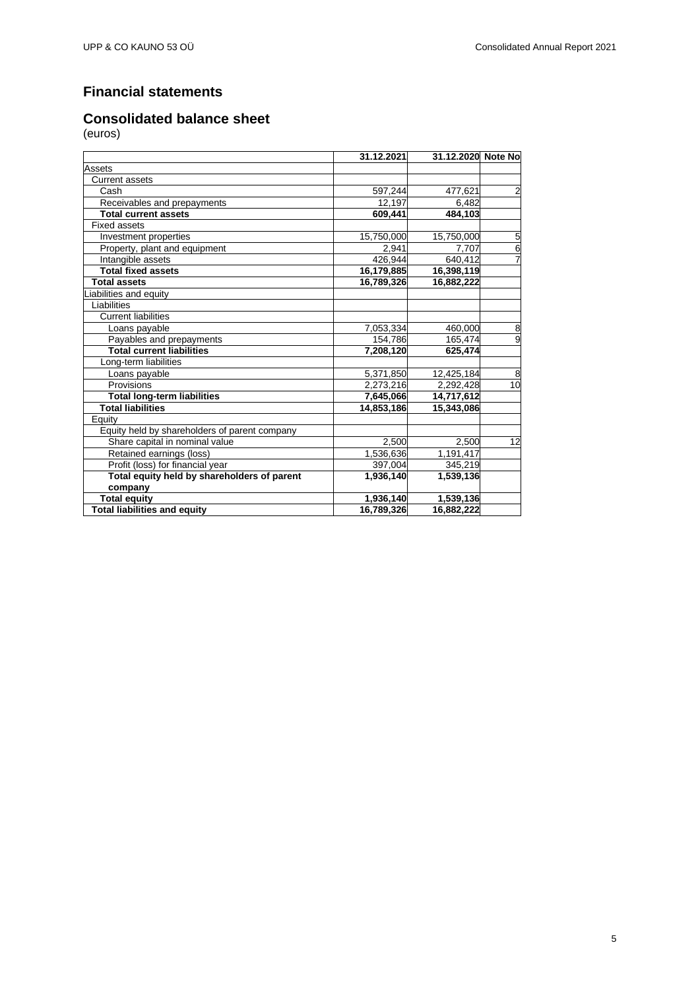## <span id="page-4-0"></span>**Financial statements**

## <span id="page-4-1"></span>**Consolidated balance sheet**

|                                               | 31.12.2021 | 31.12.2020 Note No |                |
|-----------------------------------------------|------------|--------------------|----------------|
| Assets                                        |            |                    |                |
| <b>Current assets</b>                         |            |                    |                |
| Cash                                          | 597,244    | 477,621            | $\overline{c}$ |
| Receivables and prepayments                   | 12,197     | 6,482              |                |
| <b>Total current assets</b>                   | 609,441    | 484,103            |                |
| <b>Fixed assets</b>                           |            |                    |                |
| Investment properties                         | 15,750,000 | 15,750,000         | $\overline{5}$ |
| Property, plant and equipment                 | 2,941      | 7,707              | 6              |
| Intangible assets                             | 426,944    | 640,412            | 7              |
| <b>Total fixed assets</b>                     | 16,179,885 | 16,398,119         |                |
| <b>Total assets</b>                           | 16,789,326 | 16,882,222         |                |
| Liabilities and equity                        |            |                    |                |
| Liabilities                                   |            |                    |                |
| <b>Current liabilities</b>                    |            |                    |                |
| Loans payable                                 | 7,053,334  | 460,000            | 8              |
| Payables and prepayments                      | 154,786    | 165,474            | $\overline{9}$ |
| <b>Total current liabilities</b>              | 7,208,120  | 625,474            |                |
| Long-term liabilities                         |            |                    |                |
| Loans payable                                 | 5,371,850  | 12,425,184         | 8              |
| Provisions                                    | 2,273,216  | 2,292,428          | 10             |
| <b>Total long-term liabilities</b>            | 7,645,066  | 14,717,612         |                |
| <b>Total liabilities</b>                      | 14,853,186 | 15,343,086         |                |
| Equity                                        |            |                    |                |
| Equity held by shareholders of parent company |            |                    |                |
| Share capital in nominal value                | 2,500      | 2,500              | 12             |
| Retained earnings (loss)                      | 1,536,636  | 1,191,417          |                |
| Profit (loss) for financial year              | 397,004    | 345,219            |                |
| Total equity held by shareholders of parent   | 1,936,140  | 1,539,136          |                |
| company                                       |            |                    |                |
| <b>Total equity</b>                           | 1,936,140  | 1,539,136          |                |
| <b>Total liabilities and equity</b>           | 16,789,326 | 16,882,222         |                |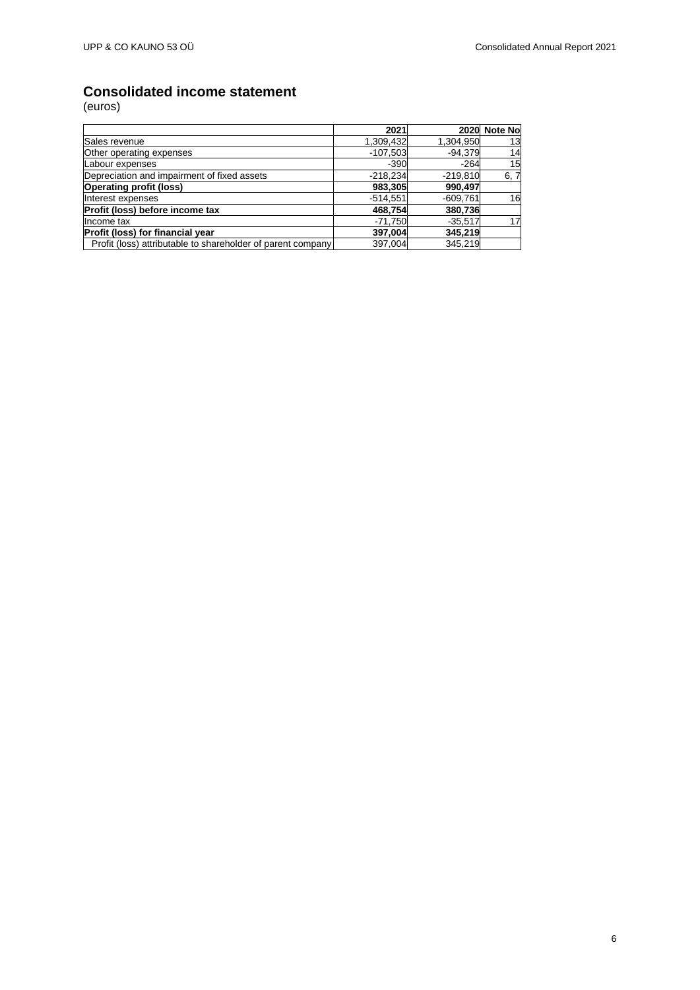## <span id="page-5-0"></span>**Consolidated income statement**

|                                                             | 2021       |            | 2020 Note No |
|-------------------------------------------------------------|------------|------------|--------------|
| Sales revenue                                               | 1,309,432  | 1,304,950  | 13           |
| Other operating expenses                                    | $-107,503$ | $-94.379$  | 14           |
| Labour expenses                                             | $-390$     | $-264$     | 15           |
| Depreciation and impairment of fixed assets                 | $-218,234$ | $-219,810$ | 6, 7         |
| <b>Operating profit (loss)</b>                              | 983,305    | 990.497    |              |
| Interest expenses                                           | $-514,551$ | $-609,761$ | 16           |
| Profit (loss) before income tax                             | 468,754    | 380,736    |              |
| Income tax                                                  | $-71,750$  | $-35,517$  | 17           |
| Profit (loss) for financial year                            | 397,004    | 345.219    |              |
| Profit (loss) attributable to shareholder of parent company | 397,004    | 345,219    |              |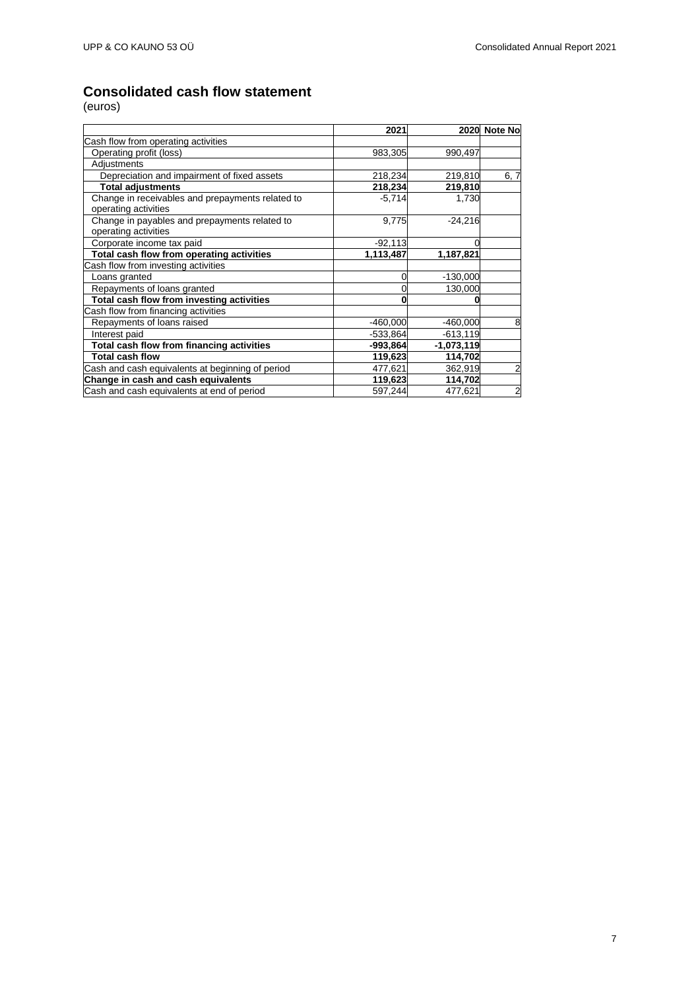## <span id="page-6-0"></span>**Consolidated cash flow statement**

|                                                                          | 2021       |              | 2020 Note No   |
|--------------------------------------------------------------------------|------------|--------------|----------------|
| Cash flow from operating activities                                      |            |              |                |
| Operating profit (loss)                                                  | 983,305    | 990,497      |                |
| Adjustments                                                              |            |              |                |
| Depreciation and impairment of fixed assets                              | 218,234    | 219,810      | 6, 7           |
| <b>Total adjustments</b>                                                 | 218,234    | 219,810      |                |
| Change in receivables and prepayments related to<br>operating activities | $-5,714$   | 1,730        |                |
| Change in payables and prepayments related to<br>operating activities    | 9,775      | $-24,216$    |                |
| Corporate income tax paid                                                | $-92,113$  |              |                |
| Total cash flow from operating activities                                | 1,113,487  | 1,187,821    |                |
| Cash flow from investing activities                                      |            |              |                |
| Loans granted                                                            | 0          | $-130,000$   |                |
| Repayments of loans granted                                              |            | 130,000      |                |
| Total cash flow from investing activities                                |            |              |                |
| Cash flow from financing activities                                      |            |              |                |
| Repayments of loans raised                                               | $-460,000$ | $-460,000$   | 8              |
| Interest paid                                                            | $-533,864$ | $-613, 119$  |                |
| Total cash flow from financing activities                                | -993,864   | $-1,073,119$ |                |
| <b>Total cash flow</b>                                                   | 119,623    | 114,702      |                |
| Cash and cash equivalents at beginning of period                         | 477,621    | 362,919      | 2              |
| Change in cash and cash equivalents                                      | 119,623    | 114,702      |                |
| Cash and cash equivalents at end of period                               | 597,244    | 477,621      | $\overline{a}$ |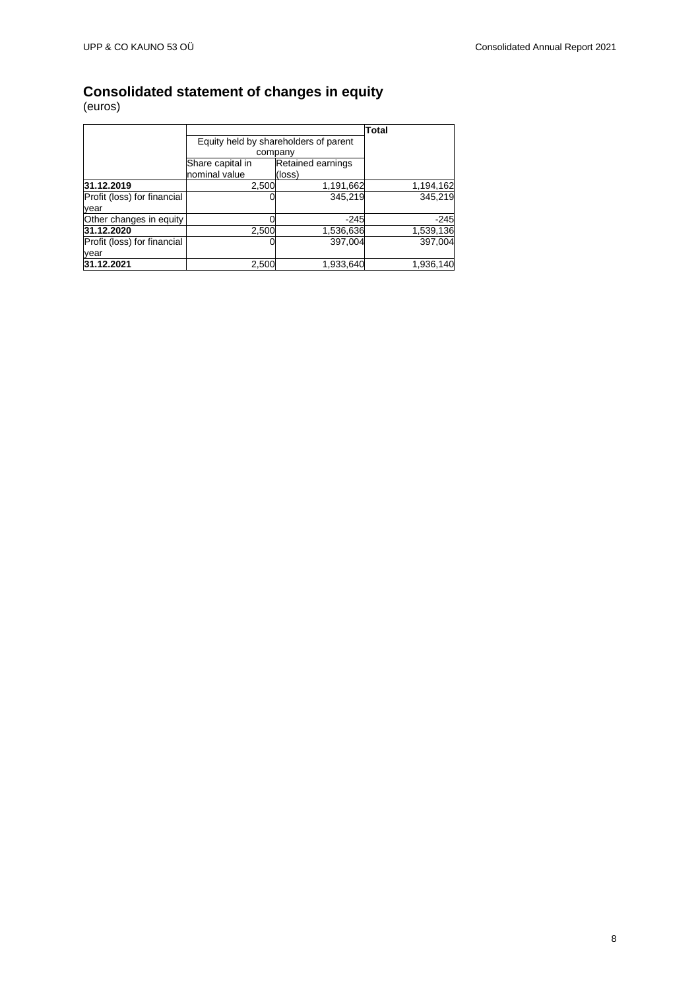### <span id="page-7-0"></span>**Consolidated statement of changes in equity**

|                             |                  |                                       | <b>Total</b> |
|-----------------------------|------------------|---------------------------------------|--------------|
|                             |                  | Equity held by shareholders of parent |              |
|                             |                  | company                               |              |
|                             | Share capital in | <b>Retained earnings</b>              |              |
|                             | nominal value    | (loss)                                |              |
| 31.12.2019                  | 2,500            | 1,191,662                             | 1,194,162    |
| Profit (loss) for financial |                  | 345,219                               | 345.219      |
| year                        |                  |                                       |              |
| Other changes in equity     |                  | $-245$                                | $-245$       |
| 31.12.2020                  | 2,500            | 1,536,636                             | 1,539,136    |
| Profit (loss) for financial |                  | 397.004                               | 397,004      |
| year                        |                  |                                       |              |
| 31.12.2021                  | 2,500            | 1,933,640                             | 1,936,140    |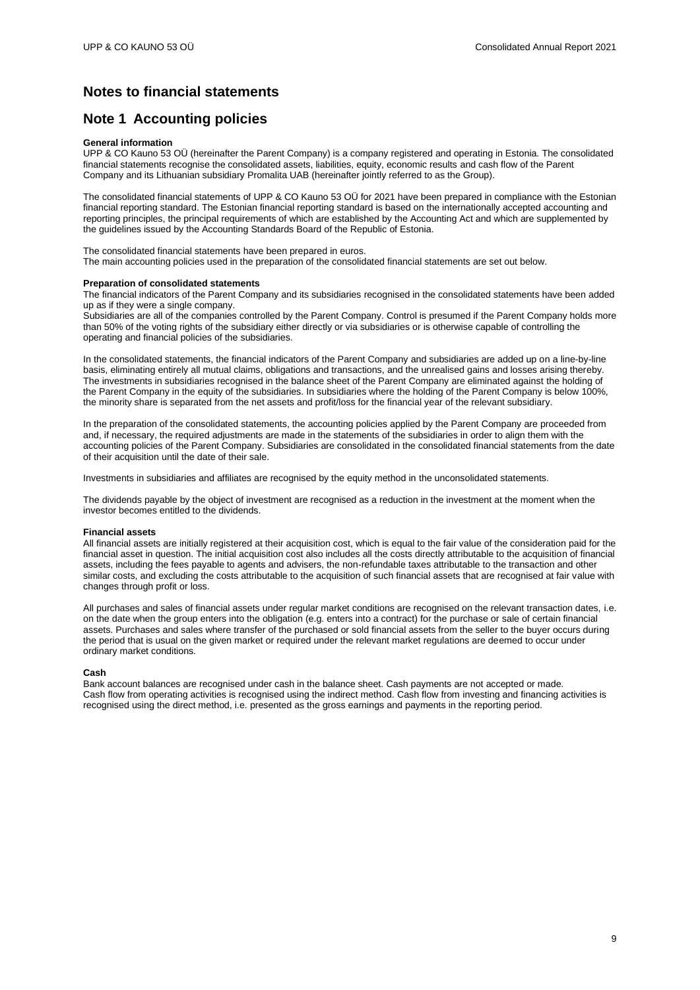## <span id="page-8-0"></span>**Notes to financial statements**

### <span id="page-8-1"></span>**Note 1 Accounting policies**

### **General information**

UPP & CO Kauno 53 OÜ (hereinafter the Parent Company) is a company registered and operating in Estonia. The consolidated financial statements recognise the consolidated assets, liabilities, equity, economic results and cash flow of the Parent Company and its Lithuanian subsidiary Promalita UAB (hereinafter jointly referred to as the Group).

The consolidated financial statements of UPP & CO Kauno 53 OÜ for 2021 have been prepared in compliance with the Estonian financial reporting standard. The Estonian financial reporting standard is based on the internationally accepted accounting and reporting principles, the principal requirements of which are established by the Accounting Act and which are supplemented by the guidelines issued by the Accounting Standards Board of the Republic of Estonia.

The consolidated financial statements have been prepared in euros.

The main accounting policies used in the preparation of the consolidated financial statements are set out below.

### **Preparation of consolidated statements**

The financial indicators of the Parent Company and its subsidiaries recognised in the consolidated statements have been added up as if they were a single company.

Subsidiaries are all of the companies controlled by the Parent Company. Control is presumed if the Parent Company holds more than 50% of the voting rights of the subsidiary either directly or via subsidiaries or is otherwise capable of controlling the operating and financial policies of the subsidiaries.

In the consolidated statements, the financial indicators of the Parent Company and subsidiaries are added up on a line-by-line basis, eliminating entirely all mutual claims, obligations and transactions, and the unrealised gains and losses arising thereby. The investments in subsidiaries recognised in the balance sheet of the Parent Company are eliminated against the holding of the Parent Company in the equity of the subsidiaries. In subsidiaries where the holding of the Parent Company is below 100%, the minority share is separated from the net assets and profit/loss for the financial year of the relevant subsidiary.

In the preparation of the consolidated statements, the accounting policies applied by the Parent Company are proceeded from and, if necessary, the required adjustments are made in the statements of the subsidiaries in order to align them with the accounting policies of the Parent Company. Subsidiaries are consolidated in the consolidated financial statements from the date of their acquisition until the date of their sale.

Investments in subsidiaries and affiliates are recognised by the equity method in the unconsolidated statements.

The dividends payable by the object of investment are recognised as a reduction in the investment at the moment when the investor becomes entitled to the dividends.

### **Financial assets**

All financial assets are initially registered at their acquisition cost, which is equal to the fair value of the consideration paid for the financial asset in question. The initial acquisition cost also includes all the costs directly attributable to the acquisition of financial assets, including the fees payable to agents and advisers, the non-refundable taxes attributable to the transaction and other similar costs, and excluding the costs attributable to the acquisition of such financial assets that are recognised at fair value with changes through profit or loss.

All purchases and sales of financial assets under regular market conditions are recognised on the relevant transaction dates, i.e. on the date when the group enters into the obligation (e.g. enters into a contract) for the purchase or sale of certain financial assets. Purchases and sales where transfer of the purchased or sold financial assets from the seller to the buyer occurs during the period that is usual on the given market or required under the relevant market regulations are deemed to occur under ordinary market conditions.

### **Cash**

Bank account balances are recognised under cash in the balance sheet. Cash payments are not accepted or made. Cash flow from operating activities is recognised using the indirect method. Cash flow from investing and financing activities is recognised using the direct method, i.e. presented as the gross earnings and payments in the reporting period.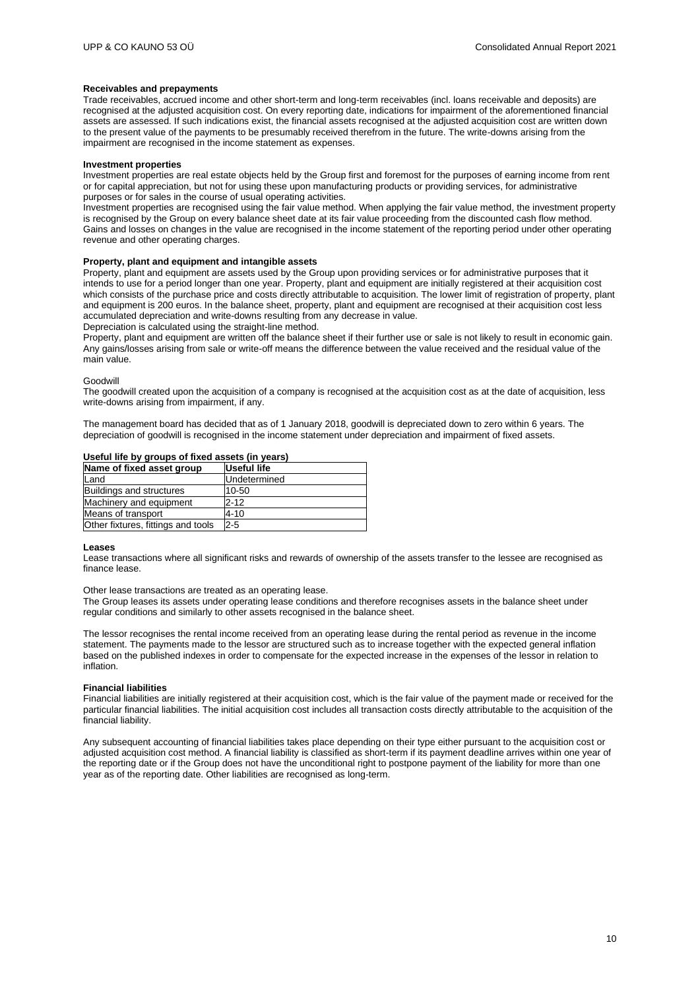#### **Receivables and prepayments**

Trade receivables, accrued income and other short-term and long-term receivables (incl. loans receivable and deposits) are recognised at the adjusted acquisition cost. On every reporting date, indications for impairment of the aforementioned financial assets are assessed. If such indications exist, the financial assets recognised at the adjusted acquisition cost are written down to the present value of the payments to be presumably received therefrom in the future. The write-downs arising from the impairment are recognised in the income statement as expenses.

#### **Investment properties**

Investment properties are real estate objects held by the Group first and foremost for the purposes of earning income from rent or for capital appreciation, but not for using these upon manufacturing products or providing services, for administrative purposes or for sales in the course of usual operating activities.

Investment properties are recognised using the fair value method. When applying the fair value method, the investment property is recognised by the Group on every balance sheet date at its fair value proceeding from the discounted cash flow method. Gains and losses on changes in the value are recognised in the income statement of the reporting period under other operating revenue and other operating charges.

### **Property, plant and equipment and intangible assets**

Property, plant and equipment are assets used by the Group upon providing services or for administrative purposes that it intends to use for a period longer than one year. Property, plant and equipment are initially registered at their acquisition cost which consists of the purchase price and costs directly attributable to acquisition. The lower limit of registration of property, plant and equipment is 200 euros. In the balance sheet, property, plant and equipment are recognised at their acquisition cost less accumulated depreciation and write-downs resulting from any decrease in value.

Depreciation is calculated using the straight-line method.

Property, plant and equipment are written off the balance sheet if their further use or sale is not likely to result in economic gain. Any gains/losses arising from sale or write-off means the difference between the value received and the residual value of the main value.

#### Goodwill

The goodwill created upon the acquisition of a company is recognised at the acquisition cost as at the date of acquisition, less write-downs arising from impairment, if any.

The management board has decided that as of 1 January 2018, goodwill is depreciated down to zero within 6 years. The depreciation of goodwill is recognised in the income statement under depreciation and impairment of fixed assets.

### **Useful life by groups of fixed assets (in years)**

| Name of fixed asset group          | Useful life  |
|------------------------------------|--------------|
| Land                               | Undetermined |
| <b>Buildings and structures</b>    | 10-50        |
| Machinery and equipment            | $2 - 12$     |
| Means of transport                 | $4 - 10$     |
| Other fixtures, fittings and tools | $2 - 5$      |

#### **Leases**

Lease transactions where all significant risks and rewards of ownership of the assets transfer to the lessee are recognised as finance lease.

Other lease transactions are treated as an operating lease.

The Group leases its assets under operating lease conditions and therefore recognises assets in the balance sheet under regular conditions and similarly to other assets recognised in the balance sheet.

The lessor recognises the rental income received from an operating lease during the rental period as revenue in the income statement. The payments made to the lessor are structured such as to increase together with the expected general inflation based on the published indexes in order to compensate for the expected increase in the expenses of the lessor in relation to inflation.

#### **Financial liabilities**

Financial liabilities are initially registered at their acquisition cost, which is the fair value of the payment made or received for the particular financial liabilities. The initial acquisition cost includes all transaction costs directly attributable to the acquisition of the financial liability.

Any subsequent accounting of financial liabilities takes place depending on their type either pursuant to the acquisition cost or adjusted acquisition cost method. A financial liability is classified as short-term if its payment deadline arrives within one year of the reporting date or if the Group does not have the unconditional right to postpone payment of the liability for more than one year as of the reporting date. Other liabilities are recognised as long-term.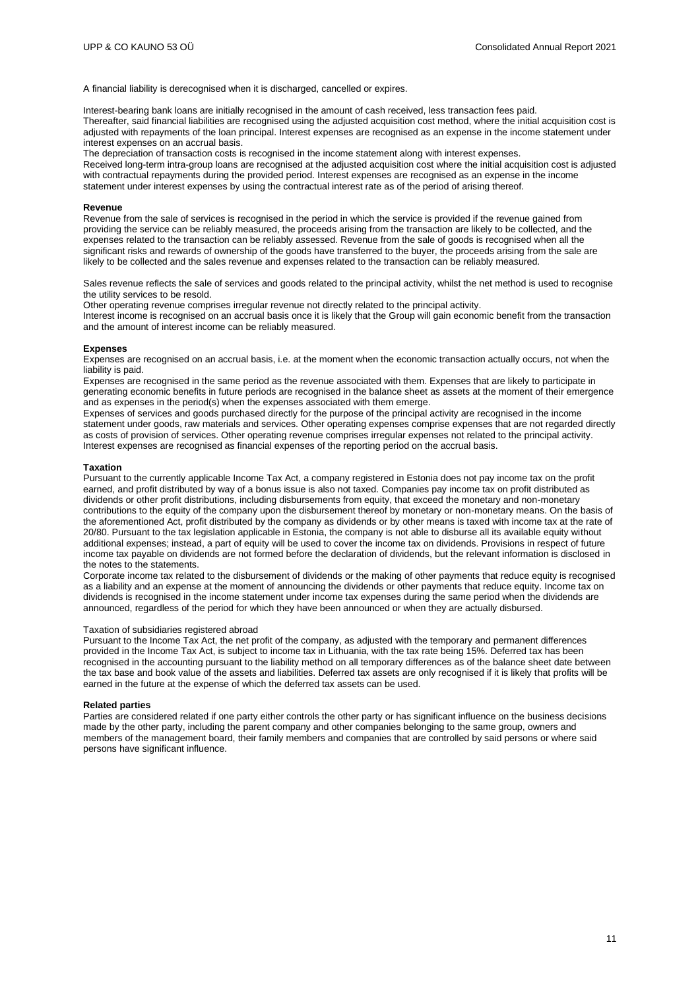A financial liability is derecognised when it is discharged, cancelled or expires.

Interest-bearing bank loans are initially recognised in the amount of cash received, less transaction fees paid. Thereafter, said financial liabilities are recognised using the adjusted acquisition cost method, where the initial acquisition cost is adjusted with repayments of the loan principal. Interest expenses are recognised as an expense in the income statement under interest expenses on an accrual basis.

The depreciation of transaction costs is recognised in the income statement along with interest expenses.

Received long-term intra-group loans are recognised at the adjusted acquisition cost where the initial acquisition cost is adjusted with contractual repayments during the provided period. Interest expenses are recognised as an expense in the income statement under interest expenses by using the contractual interest rate as of the period of arising thereof.

#### **Revenue**

Revenue from the sale of services is recognised in the period in which the service is provided if the revenue gained from providing the service can be reliably measured, the proceeds arising from the transaction are likely to be collected, and the expenses related to the transaction can be reliably assessed. Revenue from the sale of goods is recognised when all the significant risks and rewards of ownership of the goods have transferred to the buyer, the proceeds arising from the sale are likely to be collected and the sales revenue and expenses related to the transaction can be reliably measured.

Sales revenue reflects the sale of services and goods related to the principal activity, whilst the net method is used to recognise the utility services to be resold.

Other operating revenue comprises irregular revenue not directly related to the principal activity.

Interest income is recognised on an accrual basis once it is likely that the Group will gain economic benefit from the transaction and the amount of interest income can be reliably measured.

#### **Expenses**

Expenses are recognised on an accrual basis, i.e. at the moment when the economic transaction actually occurs, not when the liability is paid.

Expenses are recognised in the same period as the revenue associated with them. Expenses that are likely to participate in generating economic benefits in future periods are recognised in the balance sheet as assets at the moment of their emergence and as expenses in the period(s) when the expenses associated with them emerge.

Expenses of services and goods purchased directly for the purpose of the principal activity are recognised in the income statement under goods, raw materials and services. Other operating expenses comprise expenses that are not regarded directly as costs of provision of services. Other operating revenue comprises irregular expenses not related to the principal activity. Interest expenses are recognised as financial expenses of the reporting period on the accrual basis.

#### **Taxation**

Pursuant to the currently applicable Income Tax Act, a company registered in Estonia does not pay income tax on the profit earned, and profit distributed by way of a bonus issue is also not taxed. Companies pay income tax on profit distributed as dividends or other profit distributions, including disbursements from equity, that exceed the monetary and non-monetary contributions to the equity of the company upon the disbursement thereof by monetary or non-monetary means. On the basis of the aforementioned Act, profit distributed by the company as dividends or by other means is taxed with income tax at the rate of 20/80. Pursuant to the tax legislation applicable in Estonia, the company is not able to disburse all its available equity without additional expenses; instead, a part of equity will be used to cover the income tax on dividends. Provisions in respect of future income tax payable on dividends are not formed before the declaration of dividends, but the relevant information is disclosed in the notes to the statements.

Corporate income tax related to the disbursement of dividends or the making of other payments that reduce equity is recognised as a liability and an expense at the moment of announcing the dividends or other payments that reduce equity. Income tax on dividends is recognised in the income statement under income tax expenses during the same period when the dividends are announced, regardless of the period for which they have been announced or when they are actually disbursed.

#### Taxation of subsidiaries registered abroad

Pursuant to the Income Tax Act, the net profit of the company, as adjusted with the temporary and permanent differences provided in the Income Tax Act, is subject to income tax in Lithuania, with the tax rate being 15%. Deferred tax has been recognised in the accounting pursuant to the liability method on all temporary differences as of the balance sheet date between the tax base and book value of the assets and liabilities. Deferred tax assets are only recognised if it is likely that profits will be earned in the future at the expense of which the deferred tax assets can be used.

#### **Related parties**

Parties are considered related if one party either controls the other party or has significant influence on the business decisions made by the other party, including the parent company and other companies belonging to the same group, owners and members of the management board, their family members and companies that are controlled by said persons or where said persons have significant influence.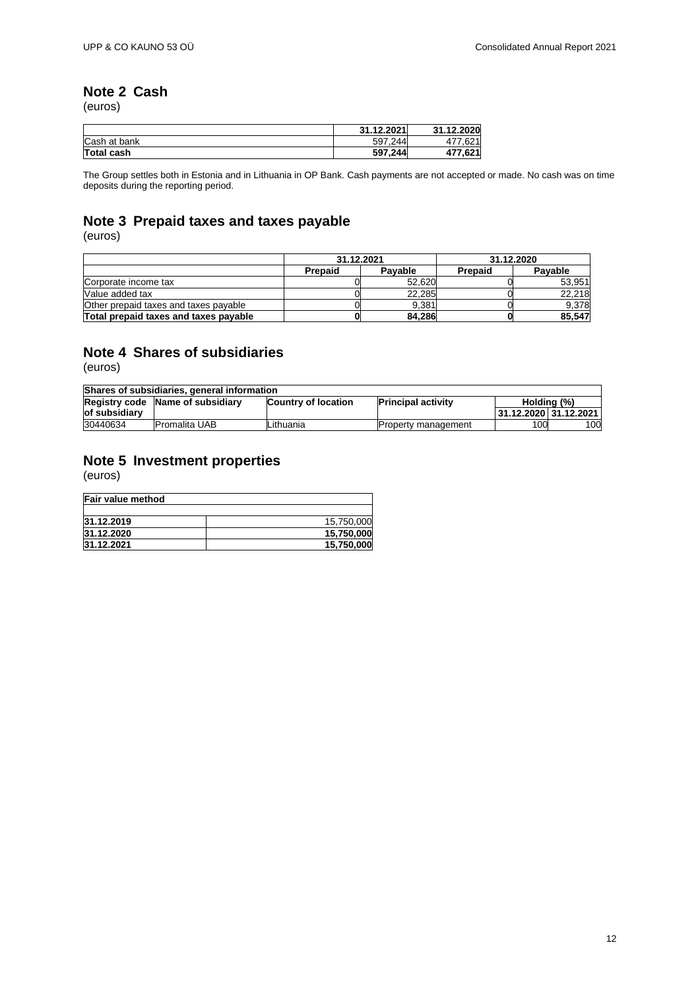# <span id="page-11-0"></span>**Note 2 Cash**

(euros)

|                   | 31.12.2021 | 31.12.2020 |
|-------------------|------------|------------|
| Cash at bank      | 597.244    | 477.621    |
| <b>Total cash</b> | 597.244    | 477.621    |

The Group settles both in Estonia and in Lithuania in OP Bank. Cash payments are not accepted or made. No cash was on time deposits during the reporting period.

## <span id="page-11-1"></span>**Note 3 Prepaid taxes and taxes payable**

(euros)

|                                       | 31.12.2021 |         | 31.12.2020 |         |
|---------------------------------------|------------|---------|------------|---------|
|                                       | Prepaid    | Pavable | Prepaid    | Pavable |
| Corporate income tax                  |            | 52.620  |            | 53.951  |
| Value added tax                       |            | 22.285  |            | 22.218  |
| Other prepaid taxes and taxes payable |            | 9.381   |            | 9,378   |
| Total prepaid taxes and taxes payable |            | 84.286  |            | 85,547  |

### <span id="page-11-2"></span>**Note 4 Shares of subsidiaries**

(euros)

| Shares of subsidiaries, general information                                                 |                      |           |                            |                         |     |  |
|---------------------------------------------------------------------------------------------|----------------------|-----------|----------------------------|-------------------------|-----|--|
| Registry code Name of subsidiary<br><b>Country of location</b><br><b>Principal activity</b> |                      |           | Holding (%)                |                         |     |  |
| of subsidiary                                                                               |                      |           |                            | 31.12.2020   31.12.2021 |     |  |
| 30440634                                                                                    | <b>Promalita UAB</b> | Lithuania | <b>Property management</b> | 100                     | 100 |  |

### <span id="page-11-3"></span>**Note 5 Investment properties**

| Fair value method |            |  |  |  |
|-------------------|------------|--|--|--|
|                   |            |  |  |  |
| 31.12.2019        | 15.750.000 |  |  |  |
| 31.12.2020        | 15,750,000 |  |  |  |
| 31.12.2021        | 15.750.000 |  |  |  |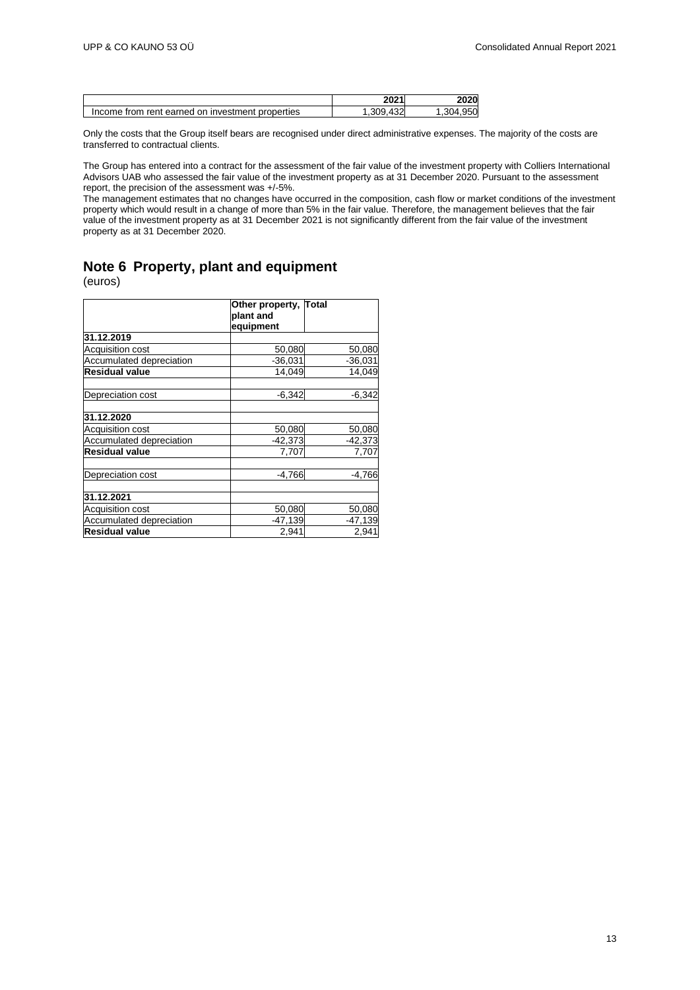|                                                  | つのつ 1<br>ZUZ | 2020       |
|--------------------------------------------------|--------------|------------|
| Income from rent earned on investment properties | .432<br>309. | 950<br>4מר |

Only the costs that the Group itself bears are recognised under direct administrative expenses. The majority of the costs are transferred to contractual clients.

The Group has entered into a contract for the assessment of the fair value of the investment property with Colliers International Advisors UAB who assessed the fair value of the investment property as at 31 December 2020. Pursuant to the assessment report, the precision of the assessment was +/-5%.

The management estimates that no changes have occurred in the composition, cash flow or market conditions of the investment property which would result in a change of more than 5% in the fair value. Therefore, the management believes that the fair value of the investment property as at 31 December 2021 is not significantly different from the fair value of the investment property as at 31 December 2020.

## <span id="page-12-0"></span>**Note 6 Property, plant and equipment**

|                          | Other property, Total |           |
|--------------------------|-----------------------|-----------|
|                          | plant and             |           |
|                          | equipment             |           |
| 31.12.2019               |                       |           |
| Acquisition cost         | 50,080                | 50,080    |
| Accumulated depreciation | $-36,031$             | $-36,031$ |
| <b>Residual value</b>    | 14.049                | 14.049    |
| Depreciation cost        | $-6,342$              | $-6,342$  |
| 31.12.2020               |                       |           |
| Acquisition cost         | 50,080                | 50,080    |
| Accumulated depreciation | $-42,373$             | $-42,373$ |
| <b>Residual value</b>    | 7,707                 | 7,707     |
| Depreciation cost        | $-4.766$              | $-4.766$  |
| 31.12.2021               |                       |           |
| Acquisition cost         | 50,080                | 50,080    |
| Accumulated depreciation | $-47,139$             | $-47,139$ |
| <b>Residual value</b>    | 2,941                 | 2,941     |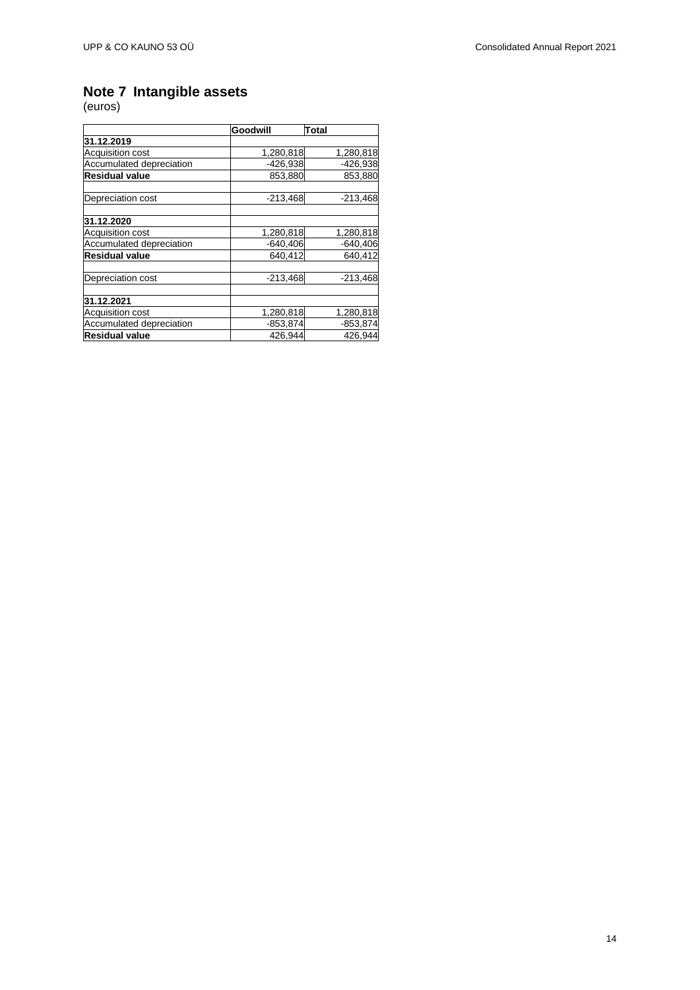### <span id="page-13-0"></span>**Note 7 Intangible assets**

|                          | Goodwill   | <b>Total</b> |
|--------------------------|------------|--------------|
| 31.12.2019               |            |              |
| <b>Acquisition cost</b>  | 1,280,818  | 1,280,818    |
| Accumulated depreciation | $-426,938$ | $-426,938$   |
| <b>Residual value</b>    | 853,880    | 853,880      |
| Depreciation cost        | $-213,468$ | $-213,468$   |
| 31.12.2020               |            |              |
| <b>Acquisition cost</b>  | 1,280,818  | 1,280,818    |
| Accumulated depreciation | $-640,406$ | $-640,406$   |
| <b>Residual value</b>    | 640.412    | 640.412      |
| Depreciation cost        | $-213,468$ | $-213,468$   |
| 31.12.2021               |            |              |
| <b>Acquisition cost</b>  | 1,280,818  | 1,280,818    |
| Accumulated depreciation | $-853,874$ | $-853,874$   |
| <b>Residual value</b>    | 426,944    | 426,944      |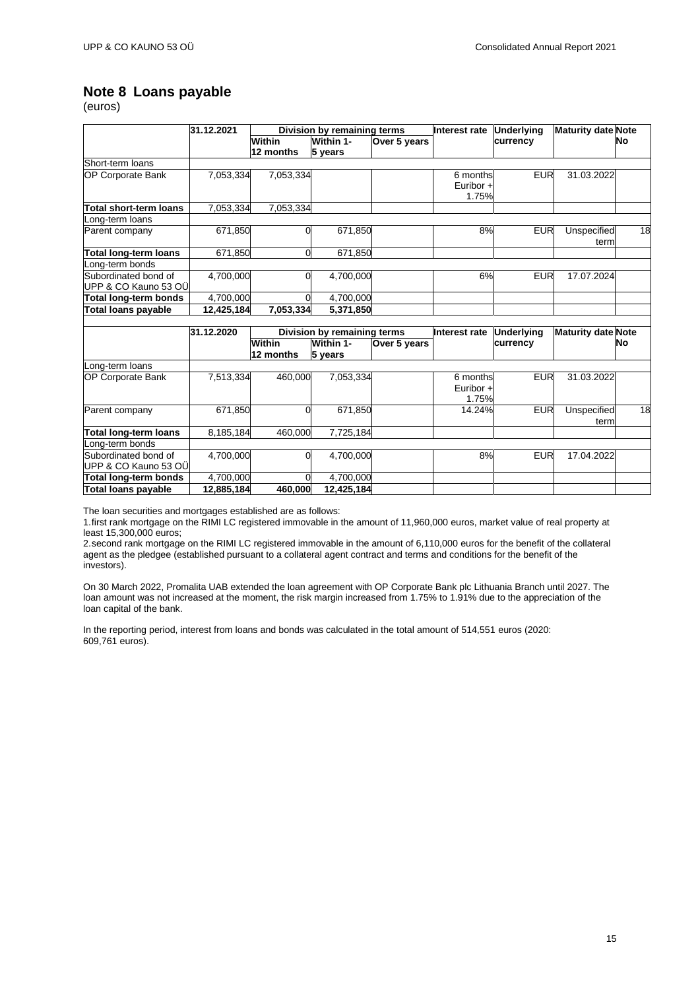### <span id="page-14-0"></span>**Note 8 Loans payable**

(euros)

|                               | 31.12.2021 |                | Division by remaining terms |              | Interest rate | <b>Underlying</b> | <b>Maturity date Note</b> |    |
|-------------------------------|------------|----------------|-----------------------------|--------------|---------------|-------------------|---------------------------|----|
|                               |            | Within         | Within 1-                   | Over 5 years |               | currency          |                           | No |
|                               |            | 12 months      | 5 years                     |              |               |                   |                           |    |
| Short-term loans              |            |                |                             |              |               |                   |                           |    |
| <b>OP Corporate Bank</b>      | 7,053,334  | 7,053,334      |                             |              | 6 months      | <b>EUR</b>        | 31.03.2022                |    |
|                               |            |                |                             |              | Euribor $+$   |                   |                           |    |
|                               |            |                |                             |              | 1.75%         |                   |                           |    |
| <b>Total short-term loans</b> | 7,053,334  | 7,053,334      |                             |              |               |                   |                           |    |
| _ong-term loans               |            |                |                             |              |               |                   |                           |    |
| Parent company                | 671,850    | 0              | 671,850                     |              | 8%            | <b>EUR</b>        | Unspecified               | 18 |
|                               |            |                |                             |              |               |                   | term                      |    |
| <b>Total long-term loans</b>  | 671,850    | 0              | 671,850                     |              |               |                   |                           |    |
| _ong-term bonds               |            |                |                             |              |               |                   |                           |    |
| Subordinated bond of          | 4,700,000  | $\Omega$       | 4,700,000                   |              | 6%            | <b>EUR</b>        | 17.07.2024                |    |
| UPP & CO Kauno 53 OÜ          |            |                |                             |              |               |                   |                           |    |
| Total long-term bonds         | 4,700,000  | $\overline{0}$ | 4,700,000                   |              |               |                   |                           |    |
| <b>Total loans payable</b>    | 12,425,184 | 7,053,334      | 5,371,850                   |              |               |                   |                           |    |
|                               |            |                |                             |              |               |                   |                           |    |
|                               | 31.12.2020 |                | Division by remaining terms |              | Interest rate | <b>Underlying</b> | <b>Maturity date Note</b> |    |
|                               |            | Within         | Within 1-                   | Over 5 years |               | currency          |                           | No |
|                               |            | 12 months      | 5 years                     |              |               |                   |                           |    |
| Long-term loans               |            |                |                             |              |               |                   |                           |    |
| <b>OP Corporate Bank</b>      | 7,513,334  | 460,000        | 7,053,334                   |              | 6 months      | <b>EUR</b>        | 31.03.2022                |    |
|                               |            |                |                             |              | Euribor $+$   |                   |                           |    |
|                               |            |                |                             |              | 1.75%         |                   |                           |    |
| Parent company                | 671,850    | 0              | 671.850                     |              | 14.24%        | <b>EUR</b>        | Unspecified               | 18 |
|                               |            |                |                             |              |               |                   | term                      |    |
| <b>Total long-term loans</b>  | 8,185,184  | 460.000        | 7,725,184                   |              |               |                   |                           |    |
| _ong-term bonds               |            |                |                             |              |               |                   |                           |    |
| Subordinated bond of          | 4,700,000  | 0              | 4,700,000                   |              | 8%            | <b>EUR</b>        | 17.04.2022                |    |
| UPP & CO Kauno 53 OÜ          |            |                |                             |              |               |                   |                           |    |
| Total long-term bonds         | 4,700,000  | $\Omega$       | 4,700,000                   |              |               |                   |                           |    |
| <b>Total loans payable</b>    | 12,885,184 | 460,000        | 12,425,184                  |              |               |                   |                           |    |

The loan securities and mortgages established are as follows:

1.first rank mortgage on the RIMI LC registered immovable in the amount of 11,960,000 euros, market value of real property at least 15,300,000 euros;

2.second rank mortgage on the RIMI LC registered immovable in the amount of 6,110,000 euros for the benefit of the collateral agent as the pledgee (established pursuant to a collateral agent contract and terms and conditions for the benefit of the investors).

On 30 March 2022, Promalita UAB extended the loan agreement with OP Corporate Bank plc Lithuania Branch until 2027. The loan amount was not increased at the moment, the risk margin increased from 1.75% to 1.91% due to the appreciation of the loan capital of the bank.

In the reporting period, interest from loans and bonds was calculated in the total amount of 514,551 euros (2020: 609,761 euros).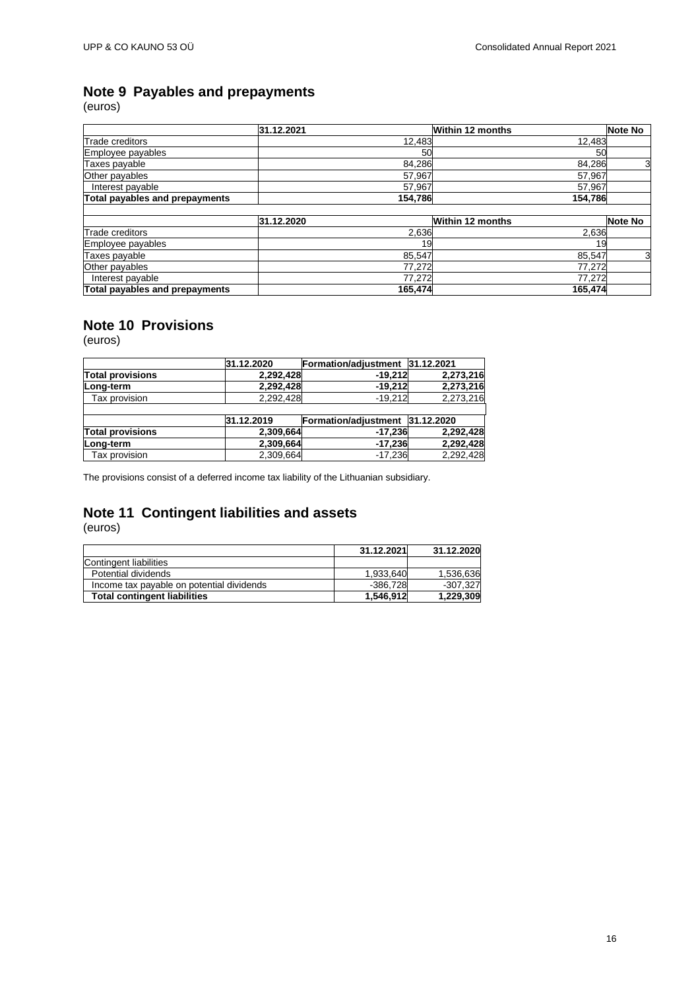## <span id="page-15-0"></span>**Note 9 Payables and prepayments**

(euros)

|                                | 31.12.2021 |         | <b>Within 12 months</b> | Note No |
|--------------------------------|------------|---------|-------------------------|---------|
| <b>Trade creditors</b>         |            | 12,483  | 12,483                  |         |
| Employee payables              |            | 50      | 50                      |         |
| Taxes payable                  |            | 84,286  | 84,286                  | 3       |
| Other payables                 |            | 57,967  | 57,967                  |         |
| Interest payable               |            | 57,967  | 57,967                  |         |
| Total payables and prepayments |            | 154.786 | 154.786                 |         |
|                                |            |         |                         |         |
|                                | 31.12.2020 |         | <b>Within 12 months</b> | Note No |
| Trade creditors                |            | 2,636   | 2,636                   |         |
| Employee payables              |            | 19      | 19                      |         |
| Taxes payable                  |            | 85,547  | 85,547                  | 3       |
| Other payables                 |            | 77,272  | 77,272                  |         |
| Interest payable               |            | 77,272  | 77,272                  |         |
| Total payables and prepayments |            | 165,474 | 165,474                 |         |

# <span id="page-15-1"></span>**Note 10 Provisions**

(euros)

|                         | 31.12.2020 | Formation/adjustment 31.12.2021 |           |
|-------------------------|------------|---------------------------------|-----------|
| <b>Total provisions</b> | 2,292,428  | $-19.212$                       | 2,273,216 |
| Long-term               | 2,292,428  | $-19.212$                       | 2,273,216 |
| Tax provision           | 2,292,428  | $-19.212$                       | 2,273,216 |
|                         |            |                                 |           |
|                         | 31.12.2019 | Formation/adjustment 31.12.2020 |           |
| <b>Total provisions</b> | 2,309,664  | $-17,236$                       | 2,292,428 |
| Long-term               | 2,309,664  | $-17,236$                       | 2,292,428 |
| Tax provision           | 2,309,664  | $-17.236$                       | 2,292,428 |

The provisions consist of a deferred income tax liability of the Lithuanian subsidiary.

# <span id="page-15-2"></span>**Note 11 Contingent liabilities and assets**

|                                           | 31.12.2021 | 31.12.2020 |
|-------------------------------------------|------------|------------|
| Contingent liabilities                    |            |            |
| Potential dividends                       | 1,933,640  | 1,536,636  |
| Income tax payable on potential dividends | $-386.728$ | $-307.327$ |
| <b>Total contingent liabilities</b>       | 1,546,912  | 1,229,309  |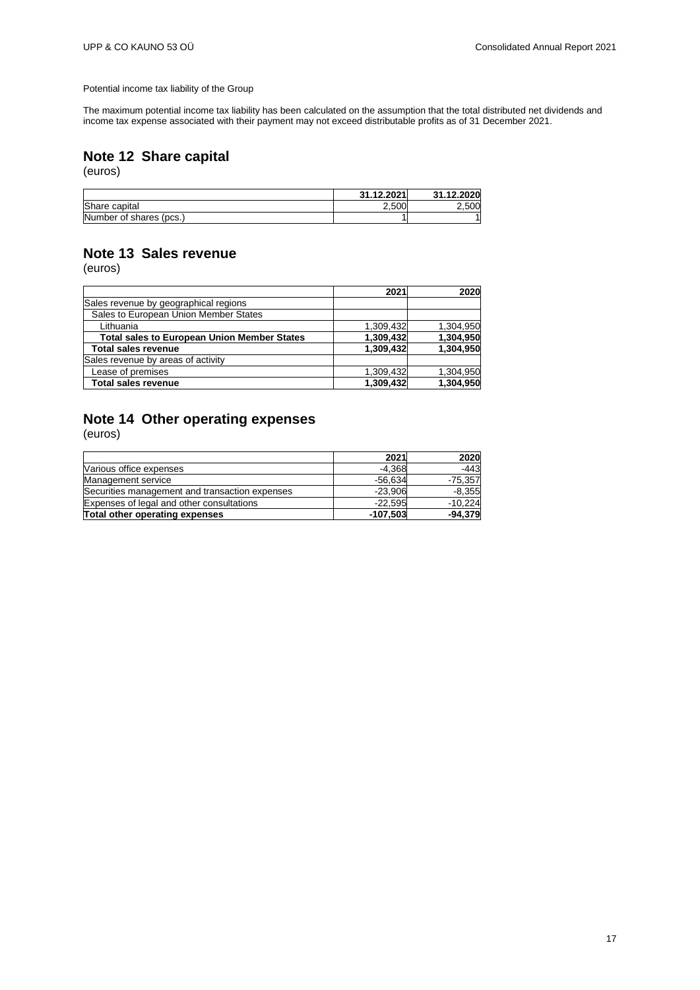Potential income tax liability of the Group

The maximum potential income tax liability has been calculated on the assumption that the total distributed net dividends and income tax expense associated with their payment may not exceed distributable profits as of 31 December 2021.

### <span id="page-16-0"></span>**Note 12 Share capital**

(euros)

|                         | 31.12.2021 | 31.12.2020 |
|-------------------------|------------|------------|
| Share capital           | 2.500      | 500        |
| Number of shares (pcs.) |            |            |

## <span id="page-16-1"></span>**Note 13 Sales revenue**

(euros)

|                                                    | 2021      | 2020      |
|----------------------------------------------------|-----------|-----------|
| Sales revenue by geographical regions              |           |           |
| Sales to European Union Member States              |           |           |
| Lithuania                                          | 1.309.432 | 1,304,950 |
| <b>Total sales to European Union Member States</b> | 1,309,432 | 1,304,950 |
| <b>Total sales revenue</b>                         | 1,309,432 | 1,304,950 |
| Sales revenue by areas of activity                 |           |           |
| Lease of premises                                  | 1,309,432 | 1,304,950 |
| <b>Total sales revenue</b>                         | 1,309,432 | 1,304,950 |

### <span id="page-16-2"></span>**Note 14 Other operating expenses**

|                                                | 2021       | 2020      |
|------------------------------------------------|------------|-----------|
| Various office expenses                        | $-4.368$   | -443      |
| Management service                             | $-56,634$  | $-75,357$ |
| Securities management and transaction expenses | $-23,906$  | $-8,355$  |
| Expenses of legal and other consultations      | $-22.595$  | $-10,224$ |
| Total other operating expenses                 | $-107,503$ | $-94,379$ |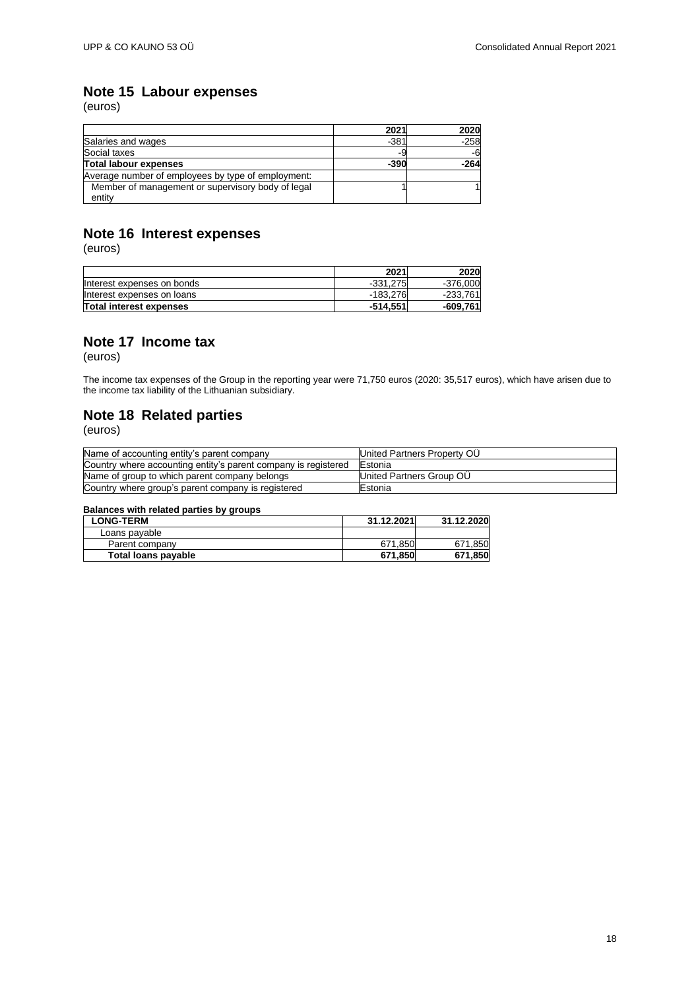## <span id="page-17-0"></span>**Note 15 Labour expenses**

(euros)

|                                                    | 2021   | 2020   |
|----------------------------------------------------|--------|--------|
| Salaries and wages                                 | $-381$ | $-258$ |
| Social taxes                                       | -9     | -6     |
| Total labour expenses                              | $-390$ | -264   |
| Average number of employees by type of employment: |        |        |
| Member of management or supervisory body of legal  |        |        |
| entity                                             |        |        |

## <span id="page-17-1"></span>**Note 16 Interest expenses**

(euros)

|                            | 2021       | 2020     |
|----------------------------|------------|----------|
| Interest expenses on bonds | $-331.275$ | -376.000 |
| Interest expenses on loans | -183.276   | -233.761 |
| Total interest expenses    | $-514.551$ | -609,761 |

### <span id="page-17-2"></span>**Note 17 Income tax**

(euros)

The income tax expenses of the Group in the reporting year were 71,750 euros (2020: 35,517 euros), which have arisen due to the income tax liability of the Lithuanian subsidiary.

### <span id="page-17-3"></span>**Note 18 Related parties**

(euros)

| Name of accounting entity's parent company                     | United Partners Property OU |
|----------------------------------------------------------------|-----------------------------|
| Country where accounting entity's parent company is registered | <b>IEstonia</b>             |
| Name of group to which parent company belongs                  | United Partners Group OU    |
| Country where group's parent company is registered             | <b>IEstonia</b>             |

### **Balances with related parties by groups**

| <b>LONG-TERM</b>    | 31.12.2021 | 31.12.2020 |
|---------------------|------------|------------|
| Loans payable       |            |            |
| Parent company      | 671.850    | 671.850    |
| Total loans payable | 671.850    | 671.850    |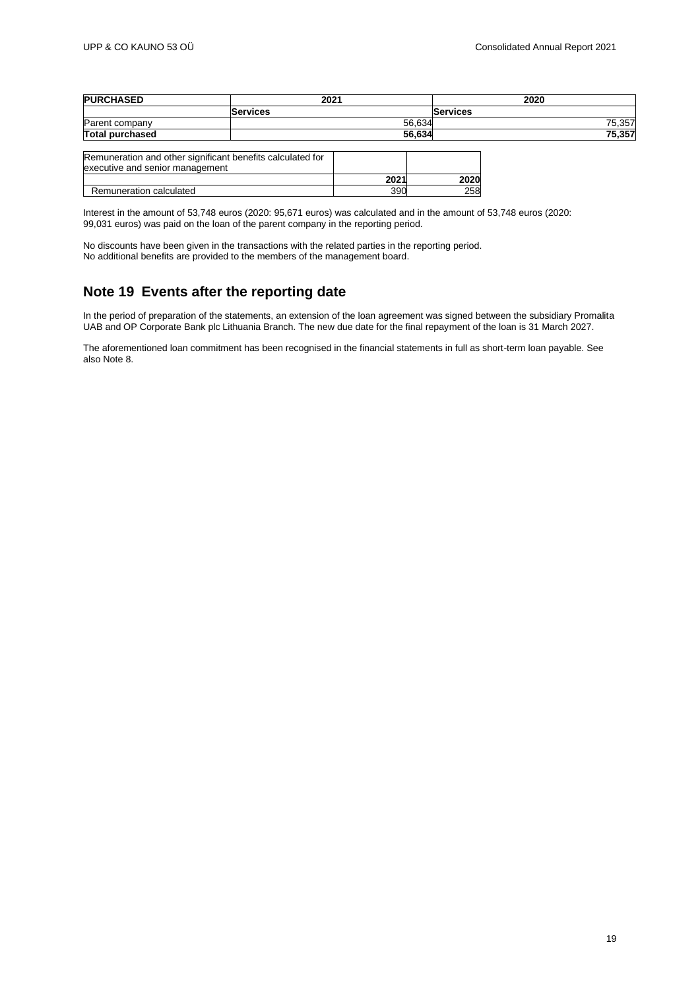| <b>PURCHASED</b>                | 2021                                                       |      |        | 2020            |  |        |
|---------------------------------|------------------------------------------------------------|------|--------|-----------------|--|--------|
|                                 | <b>Services</b>                                            |      |        | <b>Services</b> |  |        |
| Parent company                  |                                                            |      | 56,634 |                 |  | 75,357 |
| <b>Total purchased</b>          |                                                            |      | 56.634 |                 |  | 75,357 |
| executive and senior management | Remuneration and other significant benefits calculated for |      |        |                 |  |        |
|                                 |                                                            | 2021 |        | 2020            |  |        |
| Remuneration calculated         |                                                            | 390  |        | 258             |  |        |

Interest in the amount of 53,748 euros (2020: 95,671 euros) was calculated and in the amount of 53,748 euros (2020: 99,031 euros) was paid on the loan of the parent company in the reporting period.

No discounts have been given in the transactions with the related parties in the reporting period. No additional benefits are provided to the members of the management board.

### <span id="page-18-0"></span>**Note 19 Events after the reporting date**

In the period of preparation of the statements, an extension of the loan agreement was signed between the subsidiary Promalita UAB and OP Corporate Bank plc Lithuania Branch. The new due date for the final repayment of the loan is 31 March 2027.

The aforementioned loan commitment has been recognised in the financial statements in full as short-term loan payable. See also Note 8.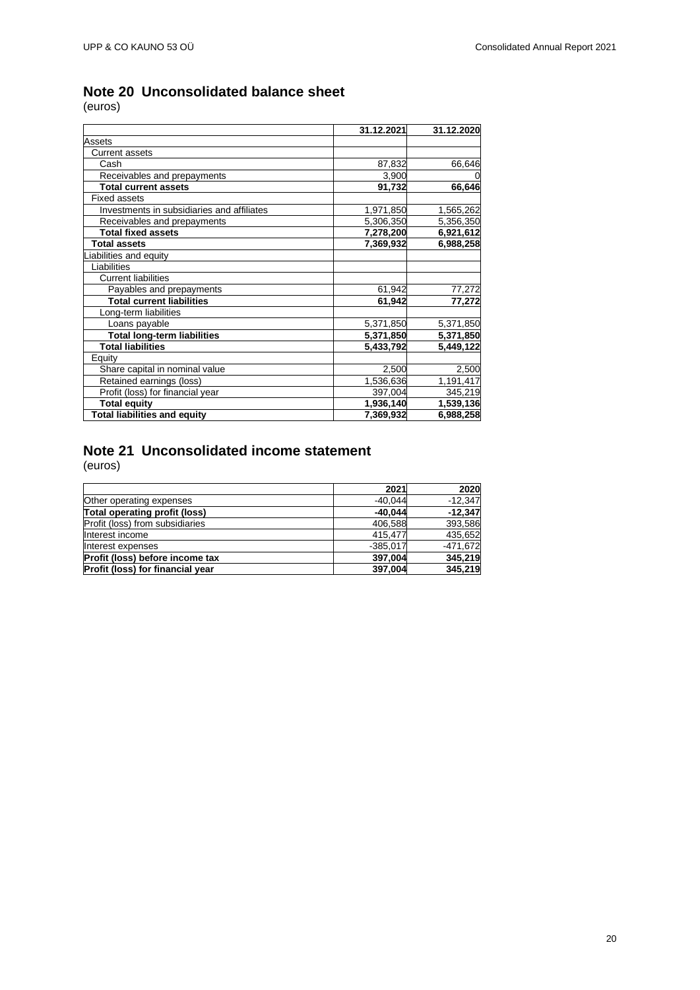# <span id="page-19-0"></span>**Note 20 Unconsolidated balance sheet**

(euros)

|                                            | 31.12.2021 | 31.12.2020 |
|--------------------------------------------|------------|------------|
| Assets                                     |            |            |
| <b>Current assets</b>                      |            |            |
| Cash                                       | 87,832     | 66,646     |
| Receivables and prepayments                | 3,900      | 0          |
| <b>Total current assets</b>                | 91,732     | 66,646     |
| <b>Fixed assets</b>                        |            |            |
| Investments in subsidiaries and affiliates | 1,971,850  | 1,565,262  |
| Receivables and prepayments                | 5,306,350  | 5,356,350  |
| <b>Total fixed assets</b>                  | 7,278,200  | 6,921,612  |
| <b>Total assets</b>                        | 7,369,932  | 6,988,258  |
| Liabilities and equity                     |            |            |
| Liabilities                                |            |            |
| <b>Current liabilities</b>                 |            |            |
| Payables and prepayments                   | 61,942     | 77,272     |
| <b>Total current liabilities</b>           | 61,942     | 77,272     |
| Long-term liabilities                      |            |            |
| Loans payable                              | 5,371,850  | 5,371,850  |
| <b>Total long-term liabilities</b>         | 5,371,850  | 5,371,850  |
| <b>Total liabilities</b>                   | 5,433,792  | 5,449,122  |
| Equity                                     |            |            |
| Share capital in nominal value             | 2,500      | 2,500      |
| Retained earnings (loss)                   | 1,536,636  | 1,191,417  |
| Profit (loss) for financial year           | 397,004    | 345,219    |
| <b>Total equity</b>                        | 1,936,140  | 1,539,136  |
| <b>Total liabilities and equity</b>        | 7,369,932  | 6,988,258  |

# <span id="page-19-1"></span>**Note 21 Unconsolidated income statement**

|                                  | 2021       | 2020       |
|----------------------------------|------------|------------|
| Other operating expenses         | $-40.044$  | $-12,347$  |
| Total operating profit (loss)    | $-40,044$  | $-12,347$  |
| Profit (loss) from subsidiaries  | 406.588    | 393,586    |
| Interest income                  | 415.477    | 435,652    |
| Interest expenses                | $-385.017$ | $-471.672$ |
| Profit (loss) before income tax  | 397,004    | 345,219    |
| Profit (loss) for financial year | 397.004    | 345,219    |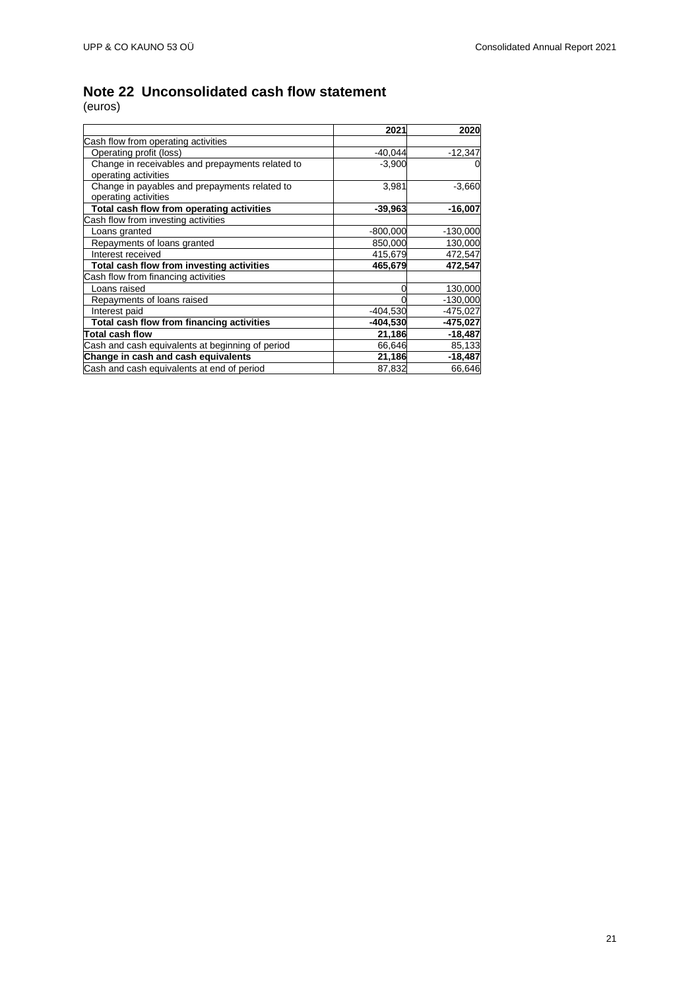# <span id="page-20-0"></span>**Note 22 Unconsolidated cash flow statement**

|                                                  | 2021       | 2020       |
|--------------------------------------------------|------------|------------|
| Cash flow from operating activities              |            |            |
| Operating profit (loss)                          | $-40.044$  | $-12,347$  |
| Change in receivables and prepayments related to | $-3,900$   | $\Omega$   |
| operating activities                             |            |            |
| Change in payables and prepayments related to    | 3,981      | $-3,660$   |
| operating activities                             |            |            |
| Total cash flow from operating activities        | -39,963    | $-16,007$  |
| Cash flow from investing activities              |            |            |
| Loans granted                                    | $-800,000$ | $-130,000$ |
| Repayments of loans granted                      | 850,000    | 130,000    |
| Interest received                                | 415,679    | 472,547    |
| Total cash flow from investing activities        | 465,679    | 472,547    |
| Cash flow from financing activities              |            |            |
| Loans raised                                     |            | 130,000    |
| Repayments of loans raised                       |            | $-130,000$ |
| Interest paid                                    | $-404,530$ | $-475,027$ |
| Total cash flow from financing activities        | $-404,530$ | $-475,027$ |
| Total cash flow                                  | 21,186     | $-18,487$  |
| Cash and cash equivalents at beginning of period | 66,646     | 85,133     |
| Change in cash and cash equivalents              | 21,186     | $-18,487$  |
| Cash and cash equivalents at end of period       | 87,832     | 66,646     |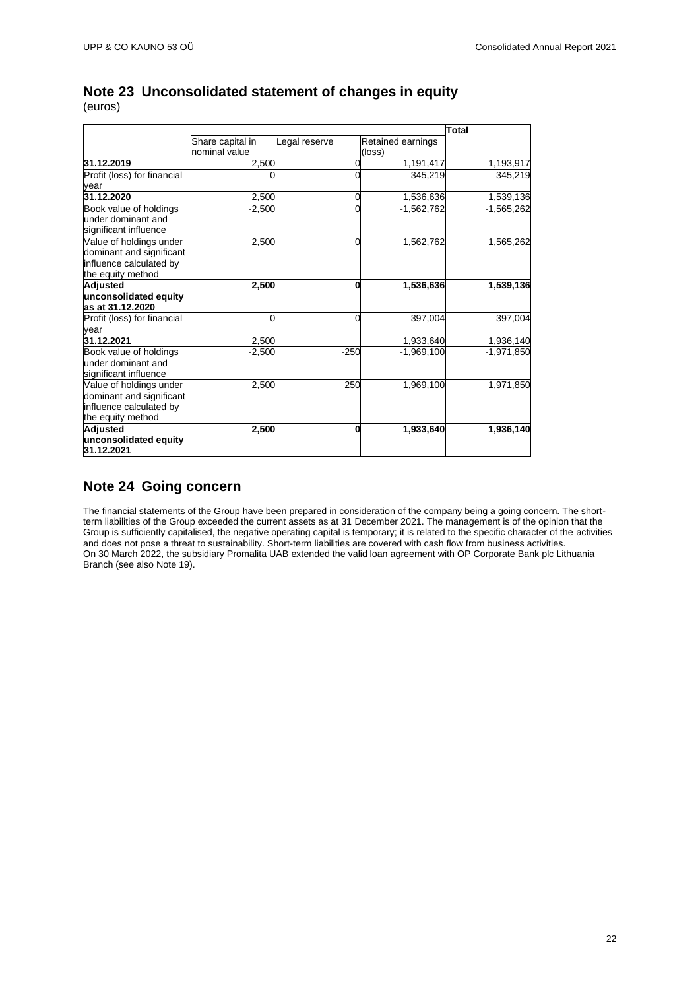|                                                                                                     |                                   | Total         |                             |              |
|-----------------------------------------------------------------------------------------------------|-----------------------------------|---------------|-----------------------------|--------------|
|                                                                                                     | Share capital in<br>nominal value | Legal reserve | Retained earnings<br>(loss) |              |
| 31.12.2019                                                                                          | 2,500                             |               | 1,191,417                   | 1,193,917    |
| Profit (loss) for financial<br>year                                                                 |                                   |               | 345.219                     | 345.219      |
| 31.12.2020                                                                                          | 2,500                             | 0             | 1,536,636                   | 1,539,136    |
| Book value of holdings<br>under dominant and<br>significant influence                               | $-2,500$                          | 0             | $-1,562,762$                | $-1,565,262$ |
| Value of holdings under<br>dominant and significant<br>influence calculated by<br>the equity method | 2,500                             | 0             | 1,562,762                   | 1,565,262    |
| <b>Adjusted</b><br>unconsolidated equity<br>las at 31.12.2020                                       | 2,500                             | 0             | 1,536,636                   | 1,539,136    |
| Profit (loss) for financial<br>year                                                                 | 0                                 | 0             | 397,004                     | 397,004      |
| 31.12.2021                                                                                          | 2,500                             |               | 1,933,640                   | 1,936,140    |
| Book value of holdings<br>under dominant and<br>significant influence                               | $-2,500$                          | $-250$        | $-1,969,100$                | $-1,971,850$ |
| Value of holdings under<br>dominant and significant<br>influence calculated by<br>the equity method | 2,500                             | 250           | 1,969,100                   | 1,971,850    |
| <b>Adjusted</b><br>unconsolidated equity<br>31.12.2021                                              | 2,500                             | 0             | 1,933,640                   | 1,936,140    |

### <span id="page-21-0"></span>**Note 23 Unconsolidated statement of changes in equity** (euros)

<span id="page-21-1"></span>**Note 24 Going concern**

The financial statements of the Group have been prepared in consideration of the company being a going concern. The shortterm liabilities of the Group exceeded the current assets as at 31 December 2021. The management is of the opinion that the Group is sufficiently capitalised, the negative operating capital is temporary; it is related to the specific character of the activities and does not pose a threat to sustainability. Short-term liabilities are covered with cash flow from business activities. On 30 March 2022, the subsidiary Promalita UAB extended the valid loan agreement with OP Corporate Bank plc Lithuania Branch (see also Note 19).